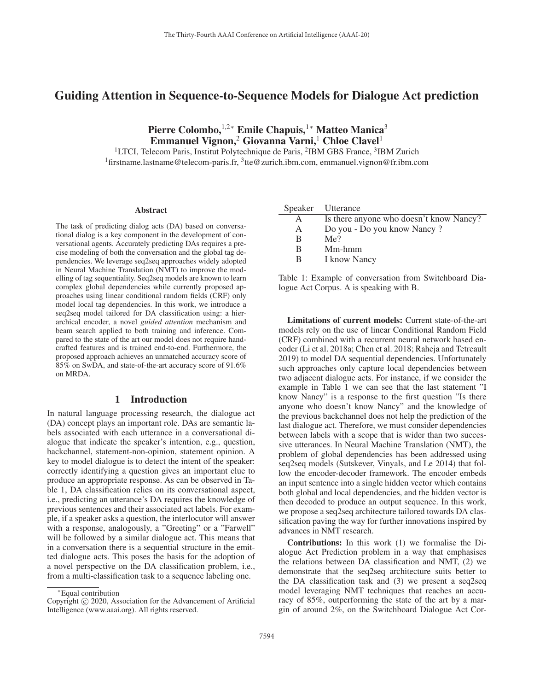# Guiding Attention in Sequence-to-Sequence Models for Dialogue Act prediction

Pierre Colombo,<sup>1,2∗</sup> Emile Chapuis,<sup>1</sup>\* Matteo Manica<sup>3</sup> Emmanuel Vignon,<sup>2</sup> Giovanna Varni,<sup>1</sup> Chloe Clavel<sup>1</sup>

<sup>1</sup>LTCI, Telecom Paris, Institut Polytechnique de Paris, <sup>2</sup>IBM GBS France, <sup>3</sup>IBM Zurich <sup>1</sup>firstname.lastname@telecom-paris.fr, <sup>3</sup>tte@zurich.ibm.com, emmanuel.vignon@fr.ibm.com

#### Abstract

The task of predicting dialog acts (DA) based on conversational dialog is a key component in the development of conversational agents. Accurately predicting DAs requires a precise modeling of both the conversation and the global tag dependencies. We leverage seq2seq approaches widely adopted in Neural Machine Translation (NMT) to improve the modelling of tag sequentiality. Seq2seq models are known to learn complex global dependencies while currently proposed approaches using linear conditional random fields (CRF) only model local tag dependencies. In this work, we introduce a seq2seq model tailored for DA classification using: a hierarchical encoder, a novel *guided attention* mechanism and beam search applied to both training and inference. Compared to the state of the art our model does not require handcrafted features and is trained end-to-end. Furthermore, the proposed approach achieves an unmatched accuracy score of 85% on SwDA, and state-of-the-art accuracy score of 91.6% on MRDA.

#### 1 Introduction

In natural language processing research, the dialogue act (DA) concept plays an important role. DAs are semantic labels associated with each utterance in a conversational dialogue that indicate the speaker's intention, e.g., question, backchannel, statement-non-opinion, statement opinion. A key to model dialogue is to detect the intent of the speaker: correctly identifying a question gives an important clue to produce an appropriate response. As can be observed in Table 1, DA classification relies on its conversational aspect, i.e., predicting an utterance's DA requires the knowledge of previous sentences and their associated act labels. For example, if a speaker asks a question, the interlocutor will answer with a response, analogously, a "Greeting" or a "Farwell" will be followed by a similar dialogue act. This means that in a conversation there is a sequential structure in the emitted dialogue acts. This poses the basis for the adoption of a novel perspective on the DA classification problem, i.e., from a multi-classification task to a sequence labeling one.

| Speaker | Utterance |
|---------|-----------|
|---------|-----------|

| A | Is there anyone who doesn't know Nancy? |
|---|-----------------------------------------|
| A | Do you - Do you know Nancy?             |
| В | Me?                                     |
| В | Mm-hmm                                  |
| В | I know Nancy                            |
|   |                                         |

Table 1: Example of conversation from Switchboard Dialogue Act Corpus. A is speaking with B.

Limitations of current models: Current state-of-the-art models rely on the use of linear Conditional Random Field (CRF) combined with a recurrent neural network based encoder (Li et al. 2018a; Chen et al. 2018; Raheja and Tetreault 2019) to model DA sequential dependencies. Unfortunately such approaches only capture local dependencies between two adjacent dialogue acts. For instance, if we consider the example in Table 1 we can see that the last statement "I know Nancy" is a response to the first question "Is there anyone who doesn't know Nancy" and the knowledge of the previous backchannel does not help the prediction of the last dialogue act. Therefore, we must consider dependencies between labels with a scope that is wider than two successive utterances. In Neural Machine Translation (NMT), the problem of global dependencies has been addressed using seq2seq models (Sutskever, Vinyals, and Le 2014) that follow the encoder-decoder framework. The encoder embeds an input sentence into a single hidden vector which contains both global and local dependencies, and the hidden vector is then decoded to produce an output sequence. In this work, we propose a seq2seq architecture tailored towards DA classification paving the way for further innovations inspired by advances in NMT research.

Contributions: In this work (1) we formalise the Dialogue Act Prediction problem in a way that emphasises the relations between DA classification and NMT, (2) we demonstrate that the seq2seq architecture suits better to the DA classification task and (3) we present a seq2seq model leveraging NMT techniques that reaches an accuracy of 85%, outperforming the state of the art by a margin of around 2%, on the Switchboard Dialogue Act Cor-

<sup>∗</sup>Equal contribution

Copyright  $\odot$  2020, Association for the Advancement of Artificial Intelligence (www.aaai.org). All rights reserved.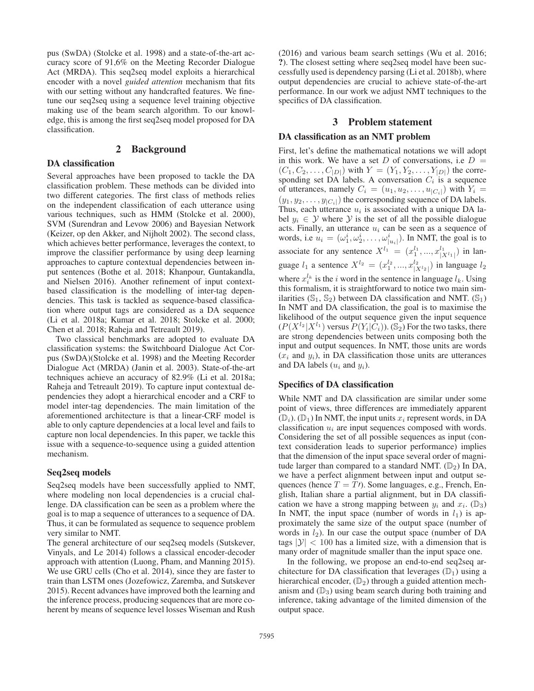pus (SwDA) (Stolcke et al. 1998) and a state-of-the-art accuracy score of 91,6% on the Meeting Recorder Dialogue Act (MRDA). This seq2seq model exploits a hierarchical encoder with a novel *guided attention* mechanism that fits with our setting without any handcrafted features. We finetune our seq2seq using a sequence level training objective making use of the beam search algorithm. To our knowledge, this is among the first seq2seq model proposed for DA classification.

## 2 Background

### DA classification

Several approaches have been proposed to tackle the DA classification problem. These methods can be divided into two different categories. The first class of methods relies on the independent classification of each utterance using various techniques, such as HMM (Stolcke et al. 2000), SVM (Surendran and Levow 2006) and Bayesian Network (Keizer, op den Akker, and Nijholt 2002). The second class, which achieves better performance, leverages the context, to improve the classifier performance by using deep learning approaches to capture contextual dependencies between input sentences (Bothe et al. 2018; Khanpour, Guntakandla, and Nielsen 2016). Another refinement of input contextbased classification is the modelling of inter-tag dependencies. This task is tackled as sequence-based classification where output tags are considered as a DA sequence (Li et al. 2018a; Kumar et al. 2018; Stolcke et al. 2000; Chen et al. 2018; Raheja and Tetreault 2019).

Two classical benchmarks are adopted to evaluate DA classification systems: the Switchboard Dialogue Act Corpus (SwDA)(Stolcke et al. 1998) and the Meeting Recorder Dialogue Act (MRDA) (Janin et al. 2003). State-of-the-art techniques achieve an accuracy of 82.9% (Li et al. 2018a; Raheja and Tetreault 2019). To capture input contextual dependencies they adopt a hierarchical encoder and a CRF to model inter-tag dependencies. The main limitation of the aforementioned architecture is that a linear-CRF model is able to only capture dependencies at a local level and fails to capture non local dependencies. In this paper, we tackle this issue with a sequence-to-sequence using a guided attention mechanism.

#### Seq2seq models

Seq2seq models have been successfully applied to NMT, where modeling non local dependencies is a crucial challenge. DA classification can be seen as a problem where the goal is to map a sequence of utterances to a sequence of DA. Thus, it can be formulated as sequence to sequence problem very similar to NMT.

The general architecture of our seq2seq models (Sutskever, Vinyals, and Le 2014) follows a classical encoder-decoder approach with attention (Luong, Pham, and Manning 2015). We use GRU cells (Cho et al. 2014), since they are faster to train than LSTM ones (Jozefowicz, Zaremba, and Sutskever 2015). Recent advances have improved both the learning and the inference process, producing sequences that are more coherent by means of sequence level losses Wiseman and Rush

(2016) and various beam search settings (Wu et al. 2016; ?). The closest setting where seq2seq model have been successfully used is dependency parsing (Li et al. 2018b), where output dependencies are crucial to achieve state-of-the-art performance. In our work we adjust NMT techniques to the specifics of DA classification.

### 3 Problem statement

#### DA classification as an NMT problem

First, let's define the mathematical notations we will adopt in this work. We have a set D of conversations, i.e  $D =$  $(C_1, C_2, \ldots, C_{|D|})$  with  $Y = (Y_1, Y_2, \ldots, Y_{|D|})$  the corresponding set DA labels. A conversation  $C_i$  is a sequence of utterances, namely  $C_i = (u_1, u_2, \dots, u_{|C_i|})$  with  $Y_i =$  $(y_1, y_2, \ldots, y_{|C_i|})$  the corresponding sequence of DA labels. Thus, each utterance  $u_i$  is associated with a unique DA label  $y_i \in \mathcal{Y}$  where  $\mathcal{Y}$  is the set of all the possible dialogue acts. Finally, an utterance  $u_i$  can be seen as a sequence of words, i.e  $u_i = (\omega_1^i, \omega_2^i, \dots, \omega_{|u_i|}^i)$ . In NMT, the goal is to associate for any sentence  $X^{l_1} = (x_1^{l_1}, ..., x_{|X^{l_1}|}^{l_1})$  in language  $l_1$  a sentence  $X^{l_2} = (x_1^{l_2}, ..., x_{|X^{l_2}|}^{l_2})$  in language  $l_2$ where  $x_i^{l_k}$  is the *i* word in the sentence in language  $l_k$ . Using this formalism, it is straightforward to notice two main similarities  $(\mathbb{S}_1, \mathbb{S}_2)$  between DA classification and NMT.  $(\mathbb{S}_1)$ In NMT and DA classification, the goal is to maximise the likelihood of the output sequence given the input sequence  $(P(X^{l_2}|X^{l_1})$  versus  $P(Y_i|C_i)$ ). (S<sub>2</sub>) For the two tasks, there are strong dependencies between units composing both the input and output sequences. In NMT, those units are words  $(x<sub>i</sub>$  and  $y<sub>i</sub>)$ , in DA classification those units are utterances and DA labels  $(u_i \text{ and } y_i)$ .

### Specifics of DA classification

While NMT and DA classification are similar under some point of views, three differences are immediately apparent  $(\mathbb{D}_i)$ .  $(\mathbb{D}_1)$  In NMT, the input units  $x_i$  represent words, in DA classification  $u_i$  are input sequences composed with words. Considering the set of all possible sequences as input (context consideration leads to superior performance) implies that the dimension of the input space several order of magnitude larger than compared to a standard NMT.  $(\mathbb{D}_2)$  In DA, we have a perfect alignment between input and output sequences (hence  $T = T$ ). Some languages, e.g., French, English, Italian share a partial alignment, but in DA classification we have a strong mapping between  $y_i$  and  $x_i$ . ( $\mathbb{D}_3$ ) In NMT, the input space (number of words in  $l_1$ ) is approximately the same size of the output space (number of words in  $l_2$ ). In our case the output space (number of DA tags  $|\mathcal{Y}| < 100$  has a limited size, with a dimension that is many order of magnitude smaller than the input space one.

In the following, we propose an end-to-end seq2seq architecture for DA classification that leverages  $(\mathbb{D}_1)$  using a hierarchical encoder,  $(\mathbb{D}_2)$  through a guided attention mechanism and  $(\mathbb{D}_3)$  using beam search during both training and inference, taking advantage of the limited dimension of the output space.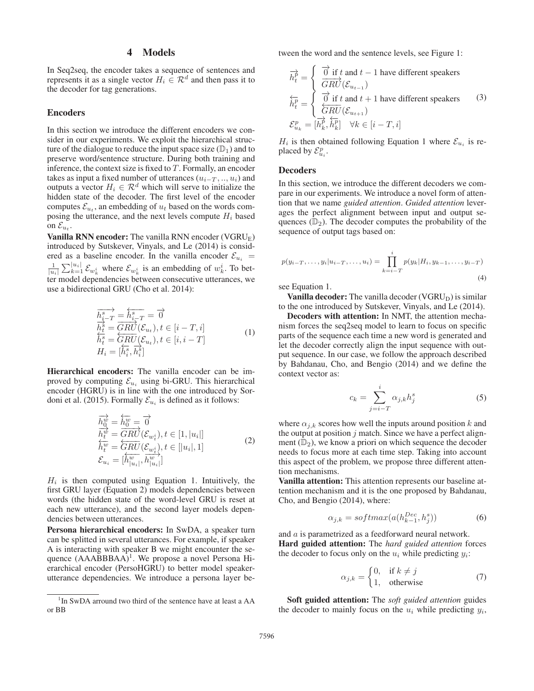## 4 Models

In Seq2seq, the encoder takes a sequence of sentences and represents it as a single vector  $H_i \in \mathcal{R}^d$  and then pass it to the decoder for tag generations.

### Encoders

In this section we introduce the different encoders we consider in our experiments. We exploit the hierarchical structure of the dialogue to reduce the input space size  $(\mathbb{D}_1)$  and to preserve word/sentence structure. During both training and inference, the context size is fixed to  $T$ . Formally, an encoder takes as input a fixed number of utterances  $(u_{i-T},...,u_i)$  and outputs a vector  $H_i \in \mathcal{R}^d$  which will serve to initialize the hidden state of the decoder. The first level of the encoder computes  $\mathcal{E}_{u_t}$ , an embedding of  $u_t$  based on the words composing the utterance, and the next levels compute  $H_i$  based on  $\mathcal{E}_{u_t}$ .

Vanilla RNN encoder: The vanilla RNN encoder (VGRUE) introduced by Sutskever, Vinyals, and Le (2014) is considered as a baseline encoder. In the vanilla encoder  $\mathcal{E}_{u_i}$  =  $\frac{1}{|u_i|} \sum_{k=1}^{|u_i|} \mathcal{E}_{w_k^i}$  where  $\mathcal{E}_{w_k^i}$  is an embedding of  $w_k^i$ . To better model dependencies between consecutive utterances, we use a bidirectional GRU (Cho et al. 2014):

$$
\overrightarrow{h_{i-T}^s} = \overrightarrow{h_{i-T}^s} = \overrightarrow{0}
$$
\n
$$
\overrightarrow{h_i^s} = \overrightarrow{GRU}(\mathcal{E}_{u_t}), t \in [i - T, i]
$$
\n
$$
\overleftarrow{h_i^s} = \overleftarrow{GRU}(\mathcal{E}_{u_t}), t \in [i, i - T]
$$
\n
$$
H_i = [\overleftarrow{h_i^s}, \overrightarrow{h_i^s}]
$$
\n(1)

Hierarchical encoders: The vanilla encoder can be improved by computing  $\mathcal{E}_{u_i}$  using bi-GRU. This hierarchical encoder (HGRU) is in line with the one introduced by Sordoni et al. (2015). Formally  $\mathcal{E}_{u_i}$  is defined as it follows:

$$
\begin{array}{l}\n\overrightarrow{h_0^w} = \overleftarrow{h_0^w} = \overrightarrow{0} \\
\overrightarrow{h_t^w} = \overrightarrow{GRU}(\mathcal{E}_{w_t^i}), t \in [1, |u_i|] \\
\overleftarrow{h_v^w} = \overleftarrow{GRU}(\mathcal{E}_{w_t^i}), t \in [|u_i|, 1] \\
\mathcal{E}_{u_i} = [\overleftarrow{h_{|u_i|}^w}, \overleftarrow{h_{|u_i|}^w}] \n\end{array} \n\tag{2}
$$

 $H_i$  is then computed using Equation 1. Intuitively, the first GRU layer (Equation 2) models dependencies between words (the hidden state of the word-level GRU is reset at each new utterance), and the second layer models dependencies between utterances.

Persona hierarchical encoders: In SwDA, a speaker turn can be splitted in several utterances. For example, if speaker A is interacting with speaker B we might encounter the sequence  $(AAABBBAA)^{1}$ . We propose a novel Persona Hierarchical encoder (PersoHGRU) to better model speakerutterance dependencies. We introduce a persona layer between the word and the sentence levels, see Figure 1:

$$
\overrightarrow{h_t^p} = \begin{cases}\n\overrightarrow{0} & \text{if } t \text{ and } t-1 \text{ have different speakers} \\
\overrightarrow{GRU}(\mathcal{E}_{u_{t-1}}) & \\
\overleftarrow{h_t^p} = \begin{cases}\n\overrightarrow{0} & \text{if } t \text{ and } t+1 \text{ have different speakers} \\
\overleftarrow{GRU}(\mathcal{E}_{u_{t+1}}) & \\
\overrightarrow{E_{u_k}} = [\overrightarrow{h_k^p}, \overleftarrow{h_k^p}] \quad \forall k \in [i-T, i]\n\end{cases} (3)
$$

 $H_i$  is then obtained following Equation 1 where  $\mathcal{E}_{u_i}$  is replaced by  $\mathcal{E}_{u_i}^p$ .

#### Decoders

In this section, we introduce the different decoders we compare in our experiments. We introduce a novel form of attention that we name *guided attention*. *Guided attention* leverages the perfect alignment between input and output sequences  $(\mathbb{D}_2)$ . The decoder computes the probability of the sequence of output tags based on:

$$
p(y_{i-T},...,y_i|u_{i-T},...,u_i) = \prod_{k=i-T}^{i} p(y_k|H_i, y_{k-1},...,y_{i-T})
$$
\n(4)

see Equation 1.

Vanilla decoder: The vanilla decoder  $(VGRU_D)$  is similar to the one introduced by Sutskever, Vinyals, and Le (2014).

Decoders with attention: In NMT, the attention mechanism forces the seq2seq model to learn to focus on specific parts of the sequence each time a new word is generated and let the decoder correctly align the input sequence with output sequence. In our case, we follow the approach described by Bahdanau, Cho, and Bengio (2014) and we define the context vector as:

$$
c_k = \sum_{j=i-T}^{i} \alpha_{j,k} h_j^s \tag{5}
$$

where  $\alpha_{i,k}$  scores how well the inputs around position k and the output at position  $j$  match. Since we have a perfect alignment  $(\mathbb{D}_2)$ , we know a priori on which sequence the decoder needs to focus more at each time step. Taking into account this aspect of the problem, we propose three different attention mechanisms.

Vanilla attention: This attention represents our baseline attention mechanism and it is the one proposed by Bahdanau, Cho, and Bengio (2014), where:

$$
\alpha_{j,k} = softmax(a(h_{k-1}^{Dec}, h_j^s))
$$
 (6)

and a is parametrized as a feedforward neural network. Hard guided attention: The *hard guided attention* forces the decoder to focus only on the  $u_i$  while predicting  $y_i$ :

$$
\alpha_{j,k} = \begin{cases} 0, & \text{if } k \neq j \\ 1, & \text{otherwise} \end{cases}
$$
 (7)

Soft guided attention: The *soft guided attention* guides the decoder to mainly focus on the  $u_i$  while predicting  $y_i$ ,

<sup>&</sup>lt;sup>1</sup>In SwDA arround two third of the sentence have at least a AA or BB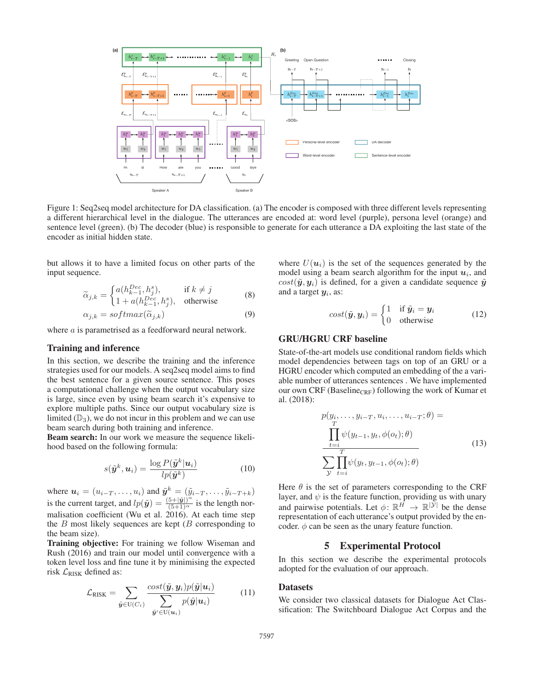

Figure 1: Seq2seq model architecture for DA classification. (a) The encoder is composed with three different levels representing a different hierarchical level in the dialogue. The utterances are encoded at: word level (purple), persona level (orange) and sentence level (green). (b) The decoder (blue) is responsible to generate for each utterance a DA exploiting the last state of the encoder as initial hidden state.

but allows it to have a limited focus on other parts of the input sequence.

$$
\widetilde{\alpha}_{j,k} = \begin{cases}\na(h_{k-1}^{Dec}, h_j^s), & \text{if } k \neq j \\
1 + a(h_{k-1}^{Dec}, h_j^s), & \text{otherwise}\n\end{cases}
$$
\n(8)

$$
\alpha_{j,k} = softmax(\widetilde{\alpha}_{j,k})
$$
\n(9)

where a is parametrised as a feedforward neural network.

#### Training and inference

In this section, we describe the training and the inference strategies used for our models. A seq2seq model aims to find the best sentence for a given source sentence. This poses a computational challenge when the output vocabulary size is large, since even by using beam search it's expensive to explore multiple paths. Since our output vocabulary size is limited  $(\mathbb{D}_3)$ , we do not incur in this problem and we can use beam search during both training and inference.

Beam search: In our work we measure the sequence likelihood based on the following formula:

$$
s(\tilde{\boldsymbol{y}}^k, \boldsymbol{u}_i) = \frac{\log P(\tilde{\boldsymbol{y}}^k | \boldsymbol{u}_i)}{lp(\tilde{\boldsymbol{y}}^k)}
$$
(10)

where  $u_i = (u_{i-T}, \ldots, u_i)$  and  $\tilde{y}^k = (\tilde{y}_{i-T}, \ldots, \tilde{y}_{i-T+k})$ <br>is the sumpatition of  $\text{Im}(\tilde{\omega})$ ,  $(\tilde{z} + |\tilde{y})^{\alpha}$  is the langth near is the current target, and  $lp(\tilde{y}) = \frac{(5+|\tilde{y}|)^{\alpha}}{(5+1)^{\alpha}}$  is the length nor-<br>maligation coefficient (Wu et al. 2016). At each time stap malisation coefficient (Wu et al. 2016). At each time step the  $B$  most likely sequences are kept ( $B$  corresponding to the beam size).

Training objective: For training we follow Wiseman and Rush (2016) and train our model until convergence with a token level loss and fine tune it by minimising the expected risk  $\mathcal{L}_{\text{RISK}}$  defined as:

$$
\mathcal{L}_{\text{RISK}} = \sum_{\tilde{\boldsymbol{y}} \in \text{U}(C_i)} \frac{\text{cost}(\tilde{\boldsymbol{y}}, \boldsymbol{y}_i) p(\tilde{\boldsymbol{y}} | \boldsymbol{u}_i)}{\sum_{\tilde{\boldsymbol{y}}' \in \text{U}(\boldsymbol{u}_i)} p(\tilde{\boldsymbol{y}} | \boldsymbol{u}_i)}
$$
(11)

where  $U(\mathbf{u}_i)$  is the set of the sequences generated by the model using a beam search algorithm for the input  $u_i$ , and  $cost(\tilde{y}, y_i)$  is defined, for a given a candidate sequence  $\tilde{y}$ and a target *y*i, as:

$$
cost(\tilde{\mathbf{y}}, \mathbf{y}_i) = \begin{cases} 1 & \text{if } \tilde{\mathbf{y}}_i = \mathbf{y}_i \\ 0 & \text{otherwise} \end{cases}
$$
 (12)

#### GRU/HGRU CRF baseline

State-of-the-art models use conditional random fields which model dependencies between tags on top of an GRU or a HGRU encoder which computed an embedding of the a variable number of utterances sentences . We have implemented our own CRF (Baseline<sub>CRF</sub>) following the work of Kumar et al. (2018):

$$
p(y_i, \dots, y_{i-T}, u_i, \dots, u_{i-T}; \theta) = \frac{\prod_{t=i}^{T} \psi(y_{t-1}, y_t, \phi(o_t); \theta)}{\sum_{\mathcal{Y}} \prod_{t=i}^{T} \psi(y_t, y_{t-1}, \phi(o_t); \theta)}
$$
(13)

Here  $\theta$  is the set of parameters corresponding to the CRF layer, and  $\psi$  is the feature function, providing us with unary and pairwise potentials. Let  $\phi \colon \mathbb{R}^H \to \mathbb{R}^{|\mathcal{Y}|}$  be the dense representation of each utterance's output provided by the encoder.  $\phi$  can be seen as the unary feature function.

## 5 Experimental Protocol

In this section we describe the experimental protocols adopted for the evaluation of our approach.

#### **Datasets**

We consider two classical datasets for Dialogue Act Classification: The Switchboard Dialogue Act Corpus and the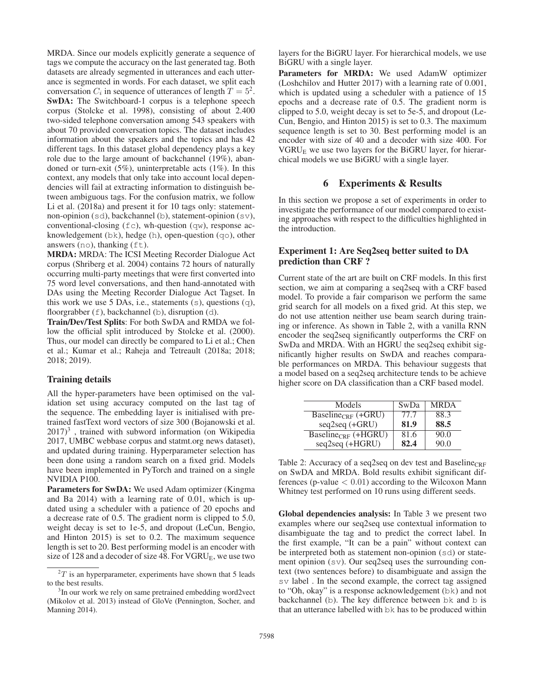MRDA. Since our models explicitly generate a sequence of tags we compute the accuracy on the last generated tag. Both datasets are already segmented in utterances and each utterance is segmented in words. For each dataset, we split each conversation  $C_i$  in sequence of utterances of length  $T = 5^2$ . SwDA: The Switchboard-1 corpus is a telephone speech corpus (Stolcke et al. 1998), consisting of about 2.400 two-sided telephone conversation among 543 speakers with about 70 provided conversation topics. The dataset includes information about the speakers and the topics and has 42 different tags. In this dataset global dependency plays a key role due to the large amount of backchannel (19%), abandoned or turn-exit (5%), uninterpretable acts (1%). In this context, any models that only take into account local dependencies will fail at extracting information to distinguish between ambiguous tags. For the confusion matrix, we follow Li et al. (2018a) and present it for 10 tags only: statementnon-opinion (sd), backchannel (b), statement-opinion (sv), conventional-closing  $(fc)$ , wh-question  $(qw)$ , response acknowledgement (bk), hedge (h), open-question (qo), other answers (no), thanking (ft).

MRDA: MRDA: The ICSI Meeting Recorder Dialogue Act corpus (Shriberg et al. 2004) contains 72 hours of naturally occurring multi-party meetings that were first converted into 75 word level conversations, and then hand-annotated with DAs using the Meeting Recorder Dialogue Act Tagset. In this work we use 5 DAs, i.e., statements (s), questions (q), floorgrabber  $(f)$ , backchannel  $(b)$ , disruption  $(d)$ .

Train/Dev/Test Splits: For both SwDA and RMDA we follow the official split introduced by Stolcke et al. (2000). Thus, our model can directly be compared to Li et al.; Chen et al.; Kumar et al.; Raheja and Tetreault (2018a; 2018; 2018; 2019).

#### Training details

All the hyper-parameters have been optimised on the validation set using accuracy computed on the last tag of the sequence. The embedding layer is initialised with pretrained fastText word vectors of size 300 (Bojanowski et al.  $2017$ <sup>3</sup>, trained with subword information (on Wikipedia 2017, UMBC webbase corpus and statmt.org news dataset), and updated during training. Hyperparameter selection has been done using a random search on a fixed grid. Models have been implemented in PyTorch and trained on a single NVIDIA P100.

Parameters for SwDA: We used Adam optimizer (Kingma and Ba 2014) with a learning rate of 0.01, which is updated using a scheduler with a patience of 20 epochs and a decrease rate of 0.5. The gradient norm is clipped to 5.0, weight decay is set to 1e-5, and dropout (LeCun, Bengio, and Hinton 2015) is set to 0.2. The maximum sequence length is set to 20. Best performing model is an encoder with size of 128 and a decoder of size 48. For VGRU<sub>E</sub>, we use two layers for the BiGRU layer. For hierarchical models, we use BiGRU with a single layer.

Parameters for MRDA: We used AdamW optimizer (Loshchilov and Hutter 2017) with a learning rate of 0.001, which is updated using a scheduler with a patience of 15 epochs and a decrease rate of 0.5. The gradient norm is clipped to 5.0, weight decay is set to 5e-5, and dropout (Le-Cun, Bengio, and Hinton 2015) is set to 0.3. The maximum sequence length is set to 30. Best performing model is an encoder with size of 40 and a decoder with size 400. For  $VGRU<sub>E</sub>$  we use two layers for the BiGRU layer, for hierarchical models we use BiGRU with a single layer.

## 6 Experiments & Results

In this section we propose a set of experiments in order to investigate the performance of our model compared to existing approaches with respect to the difficulties highlighted in the introduction.

## Experiment 1: Are Seq2seq better suited to DA prediction than CRF ?

Current state of the art are built on CRF models. In this first section, we aim at comparing a seq2seq with a CRF based model. To provide a fair comparison we perform the same grid search for all models on a fixed grid. At this step, we do not use attention neither use beam search during training or inference. As shown in Table 2, with a vanilla RNN encoder the seq2seq significantly outperforms the CRF on SwDa and MRDA. With an HGRU the seq2seq exhibit significantly higher results on SwDA and reaches comparable performances on MRDA. This behaviour suggests that a model based on a seq2seq architecture tends to be achieve higher score on DA classification than a CRF based model.

| Models                            | SwDa | <b>MRDA</b> |
|-----------------------------------|------|-------------|
| Baseline <sub>CRF</sub> $(+GRU)$  | 77.7 | 88.3        |
| seq2seq (+GRU)                    | 81.9 | 88.5        |
| Baseline <sub>CRF</sub> $(+HGRU)$ | 81.6 | 90.0        |
| seq2seq (+HGRU)                   | 82.4 | 90.0        |

Table 2: Accuracy of a seq2seq on dev test and Baseline $_{\text{CBF}}$ on SwDA and MRDA. Bold results exhibit significant differences (p-value  $< 0.01$ ) according to the Wilcoxon Mann Whitney test performed on 10 runs using different seeds.

Global dependencies analysis: In Table 3 we present two examples where our seq2seq use contextual information to disambiguate the tag and to predict the correct label. In the first example, "It can be a pain" without context can be interpreted both as statement non-opinion (sd) or statement opinion (sv). Our seq2seq uses the surrounding context (two sentences before) to disambiguate and assign the sv label . In the second example, the correct tag assigned to "Oh, okay" is a response acknowledgement (bk) and not backchannel (b). The key difference between bk and b is that an utterance labelled with bk has to be produced within

 ${}^{2}T$  is an hyperparameter, experiments have shown that 5 leads to the best results.

<sup>&</sup>lt;sup>3</sup>In our work we rely on same pretrained embedding word2vect (Mikolov et al. 2013) instead of GloVe (Pennington, Socher, and Manning 2014).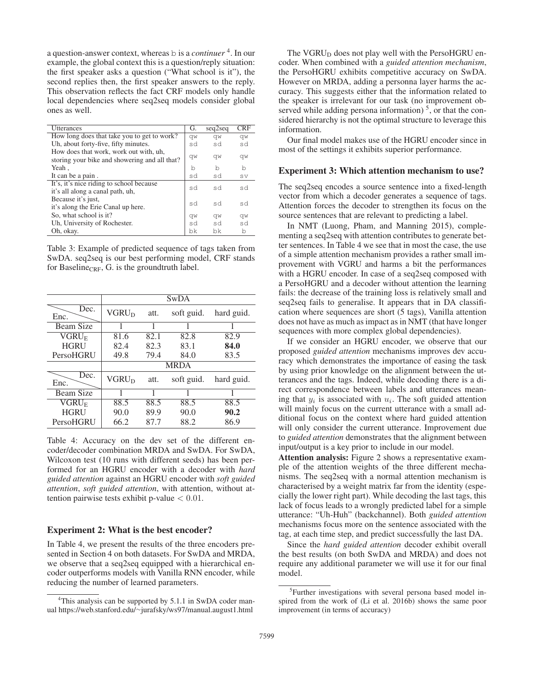a question-answer context, whereas b is a *continuer* 4. In our example, the global context this is a question/reply situation: the first speaker asks a question ("What school is it"), the second replies then, the first speaker answers to the reply. This observation reflects the fact CRF models only handle local dependencies where seq2seq models consider global ones as well.

| Utterances                                                                              | G. | seq2seq | <b>CRF</b> |
|-----------------------------------------------------------------------------------------|----|---------|------------|
| How long does that take you to get to work?                                             | qw | aw      | qw         |
| Uh, about forty-five, fifty minutes.                                                    | sd | sd      | sd         |
| How does that work, work out with, uh,<br>storing your bike and showering and all that? | qw | qw      | qw         |
| Yeah.                                                                                   | b  | b       | b          |
| It can be a pain.                                                                       | sd | sd      | SV         |
| It's, it's nice riding to school because<br>it's all along a canal path, uh,            | sd | sd      | sd         |
| Because it's just,<br>it's along the Erie Canal up here.                                | sd | sd      | sd         |
| So, what school is it?                                                                  | aw | qw      | qw         |
| Uh, University of Rochester.                                                            | sd | sd      | sd         |
| Oh, okay.                                                                               | bk | bk      | b          |

Table 3: Example of predicted sequence of tags taken from SwDA. seq2seq is our best performing model, CRF stands for Baseline<sub>CRF</sub>, G. is the groundtruth label.

|                  | <b>SwDA</b>             |      |            |            |
|------------------|-------------------------|------|------------|------------|
| Dec.<br>Enc.     | VGRU <sub>d</sub>       | att. | soft guid. | hard guid. |
| <b>Beam Size</b> |                         |      |            |            |
| $VGRU_F$         | 81.6                    | 82.1 | 82.8       | 82.9       |
| <b>HGRU</b>      | 82.4                    | 82.3 | 83.1       | 84.0       |
| PersoHGRU        | 49.8                    | 79.4 | 84.0       | 83.5       |
|                  | <b>MRDA</b>             |      |            |            |
| Dec.<br>Enc.     | <b>VGRU<sub>D</sub></b> | att. | soft guid. | hard guid. |
| <b>Beam Size</b> |                         |      | 1          |            |
| $VGRU_F$         | 88.5                    | 88.5 | 88.5       | 88.5       |
| <b>HGRU</b>      | 90.0                    | 89.9 | 90.0       | 90.2       |
| PersoHGRU        | 66.2                    | 87.7 | 88.2       | 86.9       |

Table 4: Accuracy on the dev set of the different encoder/decoder combination MRDA and SwDA. For SwDA, Wilcoxon test (10 runs with different seeds) has been performed for an HGRU encoder with a decoder with *hard guided attention* against an HGRU encoder with *soft guided attention*, *soft guided attention*, with attention, without attention pairwise tests exhibit p-value  $< 0.01$ .

#### Experiment 2: What is the best encoder?

In Table 4, we present the results of the three encoders presented in Section 4 on both datasets. For SwDA and MRDA, we observe that a seq2seq equipped with a hierarchical encoder outperforms models with Vanilla RNN encoder, while reducing the number of learned parameters.

The  $VGRU_D$  does not play well with the Perso $HGRU$  encoder. When combined with a *guided attention mechanism*, the PersoHGRU exhibits competitive accuracy on SwDA. However on MRDA, adding a personna layer harms the accuracy. This suggests either that the information related to the speaker is irrelevant for our task (no improvement observed while adding persona information)<sup>5</sup>, or that the considered hierarchy is not the optimal structure to leverage this information.

Our final model makes use of the HGRU encoder since in most of the settings it exhibits superior performance.

#### Experiment 3: Which attention mechanism to use?

The seq2seq encodes a source sentence into a fixed-length vector from which a decoder generates a sequence of tags. Attention forces the decoder to strengthen its focus on the source sentences that are relevant to predicting a label.

In NMT (Luong, Pham, and Manning 2015), complementing a seq2seq with attention contributes to generate better sentences. In Table 4 we see that in most the case, the use of a simple attention mechanism provides a rather small improvement with VGRU and harms a bit the performances with a HGRU encoder. In case of a seq2seq composed with a PersoHGRU and a decoder without attention the learning fails: the decrease of the training loss is relatively small and seq2seq fails to generalise. It appears that in DA classification where sequences are short (5 tags), Vanilla attention does not have as much as impact as in NMT (that have longer sequences with more complex global dependencies).

If we consider an HGRU encoder, we observe that our proposed *guided attention* mechanisms improves dev accuracy which demonstrates the importance of easing the task by using prior knowledge on the alignment between the utterances and the tags. Indeed, while decoding there is a direct correspondence between labels and utterances meaning that  $y_i$  is associated with  $u_i$ . The soft guided attention will mainly focus on the current utterance with a small additional focus on the context where hard guided attention will only consider the current utterance. Improvement due to *guided attention* demonstrates that the alignment between input/output is a key prior to include in our model.

Attention analysis: Figure 2 shows a representative example of the attention weights of the three different mechanisms. The seq2seq with a normal attention mechanism is characterised by a weight matrix far from the identity (especially the lower right part). While decoding the last tags, this lack of focus leads to a wrongly predicted label for a simple utterance: "Uh-Huh" (backchannel). Both *guided attention* mechanisms focus more on the sentence associated with the tag, at each time step, and predict successfully the last DA.

Since the *hard guided attention* decoder exhibit overall the best results (on both SwDA and MRDA) and does not require any additional parameter we will use it for our final model.

<sup>&</sup>lt;sup>4</sup>This analysis can be supported by 5.1.1 in SwDA coder manual https://web.stanford.edu/∼jurafsky/ws97/manual.august1.html

<sup>&</sup>lt;sup>5</sup>Further investigations with several persona based model inspired from the work of (Li et al. 2016b) shows the same poor improvement (in terms of accuracy)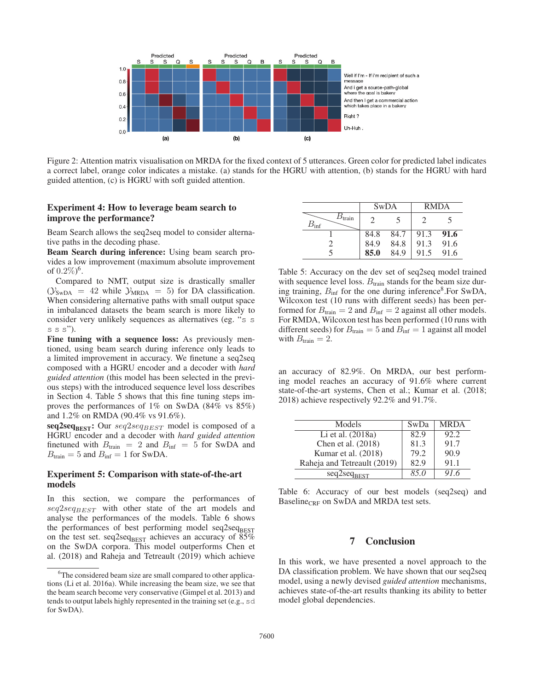

Figure 2: Attention matrix visualisation on MRDA for the fixed context of 5 utterances. Green color for predicted label indicates a correct label, orange color indicates a mistake. (a) stands for the HGRU with attention, (b) stands for the HGRU with hard guided attention, (c) is HGRU with soft guided attention.

### Experiment 4: How to leverage beam search to improve the performance?

Beam Search allows the seq2seq model to consider alternative paths in the decoding phase.

Beam Search during inference: Using beam search provides a low improvement (maximum absolute improvement of  $0.2\%)$ <sup>6</sup>.<br>Compar

Compared to NMT, output size is drastically smaller  $(\mathcal{Y}_{\text{SWDA}} = 42 \text{ while } \mathcal{Y}_{\text{MRDA}} = 5) \text{ for DA classification.}$ When considering alternative paths with small output space in imbalanced datasets the beam search is more likely to consider very unlikely sequences as alternatives (eg. "s s  $s s$ ").

Fine tuning with a sequence loss: As previously mentioned, using beam search during inference only leads to a limited improvement in accuracy. We finetune a seq2seq composed with a HGRU encoder and a decoder with *hard guided attention* (this model has been selected in the previous steps) with the introduced sequence level loss describes in Section 4. Table 5 shows that this fine tuning steps improves the performances of 1% on SwDA (84% vs 85%) and 1.2% on RMDA (90.4% vs 91.6%).

 $seq2seq_{\text{BEST}}$ : Our  $seq2seq_{\text{BEST}}$  model is composed of a HGRU encoder and a decoder with *hard guided attention* finetuned with  $B_{\text{train}} = 2$  and  $B_{\text{inf}} = 5$  for SwDA and  $B_{\text{train}} = 5$  and  $B_{\text{inf}} = 1$  for SwDA.

## Experiment 5: Comparison with state-of-the-art models

In this section, we compare the performances of  $seq2seq_{BEST}$  with other state of the art models and analyse the performances of the models. Table 6 shows the performances of best performing model seq2seqBEST on the test set. seq2seq $_{\text{BERT}}$  achieves an accuracy of 85% on the SwDA corpora. This model outperforms Chen et al. (2018) and Raheja and Tetreault (2019) which achieve

|                                     | <b>SwDA</b>    |      |      | <b>RMDA</b> |
|-------------------------------------|----------------|------|------|-------------|
| $B_{\text{train}}$<br>$B_{\rm inf}$ | $\mathfrak{D}$ | 5    |      |             |
|                                     | 84.8           | 84.7 | 91.3 | 91.6        |
| 7                                   | 84.9           | 84.8 | 91.3 | 91.6        |
| 5                                   | 85.0           | 84.9 | 91.5 | 91.6        |

Table 5: Accuracy on the dev set of seq2seq model trained with sequence level loss.  $B<sub>train</sub>$  stands for the beam size during training,  $B_{\text{inf}}$  for the one during inference<sup>8</sup>.For SwDA, Wilcoxon test (10 runs with different seeds) has been performed for  $B_{\text{train}} = 2$  and  $B_{\text{inf}} = 2$  against all other models. For RMDA, Wilcoxon test has been performed (10 runs with different seeds) for  $B_{\text{train}} = 5$  and  $B_{\text{inf}} = 1$  against all model with  $B_{\text{train}} = 2$ .

an accuracy of 82.9%. On MRDA, our best performing model reaches an accuracy of 91.6% where current state-of-the-art systems, Chen et al.; Kumar et al. (2018; 2018) achieve respectively 92.2% and 91.7%.

| Models                      | SwDa | <b>MRDA</b> |
|-----------------------------|------|-------------|
| Li et al. (2018a)           | 82.9 | 92.2.       |
| Chen et al. (2018)          | 81.3 | 91.7        |
| Kumar et al. (2018)         | 79.2 | 90.9        |
| Raheja and Tetreault (2019) | 82.9 | 91.1        |
| $seq2seq_{\text{REST}}$     | 85.0 | 916         |

Table 6: Accuracy of our best models (seq2seq) and Baseline<sub>CRF</sub> on SwDA and MRDA test sets.

## 7 Conclusion

In this work, we have presented a novel approach to the DA classification problem. We have shown that our seq2seq model, using a newly devised *guided attention* mechanisms, achieves state-of-the-art results thanking its ability to better model global dependencies.

<sup>&</sup>lt;sup>6</sup>The considered beam size are small compared to other applications (Li et al. 2016a). While increasing the beam size, we see that the beam search become very conservative (Gimpel et al. 2013) and tends to output labels highly represented in the training set (e.g., sd for SwDA).